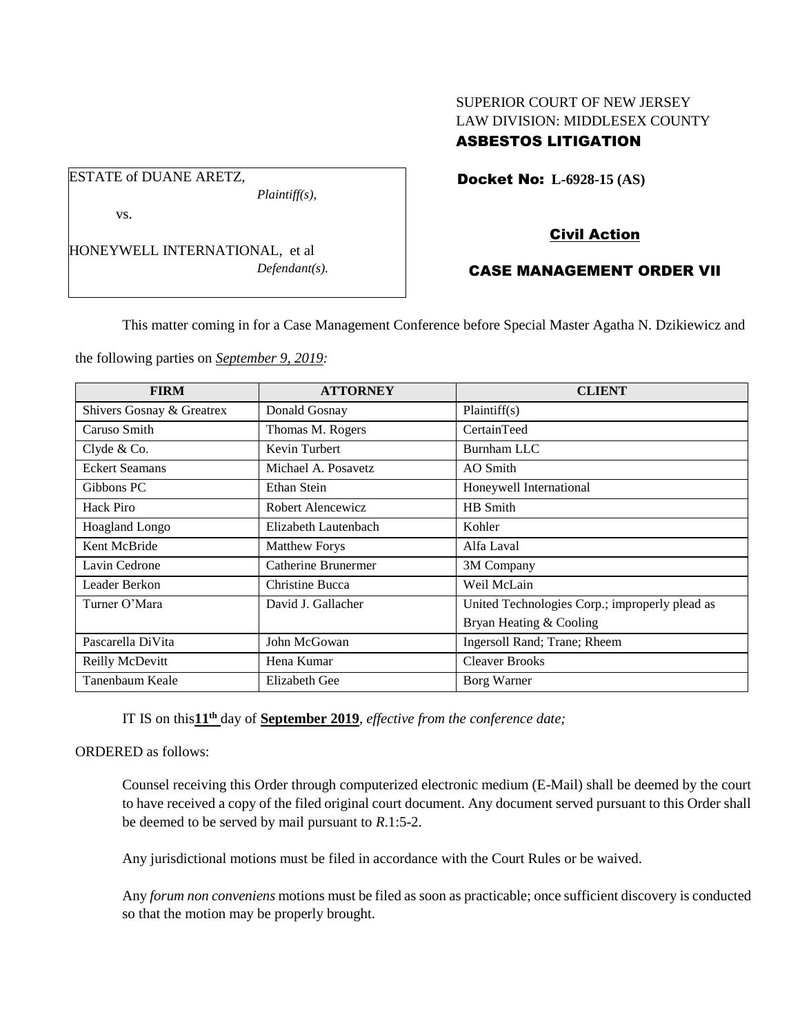## SUPERIOR COURT OF NEW JERSEY LAW DIVISION: MIDDLESEX COUNTY ASBESTOS LITIGATION

Docket No: **L-6928-15 (AS)** 

vs.

ESTATE of DUANE ARETZ,

HONEYWELL INTERNATIONAL, et al *Defendant(s).*

*Plaintiff(s),*

## Civil Action

# CASE MANAGEMENT ORDER VII

This matter coming in for a Case Management Conference before Special Master Agatha N. Dzikiewicz and

the following parties on *September 9, 2019:*

| <b>FIRM</b>               | <b>ATTORNEY</b>      | <b>CLIENT</b>                                  |
|---------------------------|----------------------|------------------------------------------------|
| Shivers Gosnay & Greatrex | Donald Gosnay        | Plaintiff(s)                                   |
| Caruso Smith              | Thomas M. Rogers     | CertainTeed                                    |
| Clyde & Co.               | Kevin Turbert        | Burnham LLC                                    |
| <b>Eckert Seamans</b>     | Michael A. Posavetz  | AO Smith                                       |
| Gibbons PC                | Ethan Stein          | Honeywell International                        |
| <b>Hack Piro</b>          | Robert Alencewicz    | HB Smith                                       |
| Hoagland Longo            | Elizabeth Lautenbach | Kohler                                         |
| Kent McBride              | <b>Matthew Forys</b> | Alfa Laval                                     |
| Lavin Cedrone             | Catherine Brunermer  | 3M Company                                     |
| Leader Berkon             | Christine Bucca      | Weil McLain                                    |
| Turner O'Mara             | David J. Gallacher   | United Technologies Corp.; improperly plead as |
|                           |                      | Bryan Heating & Cooling                        |
| Pascarella DiVita         | John McGowan         | Ingersoll Rand; Trane; Rheem                   |
| Reilly McDevitt           | Hena Kumar           | <b>Cleaver Brooks</b>                          |
| Tanenbaum Keale           | <b>Elizabeth Gee</b> | Borg Warner                                    |

IT IS on this**11th** day of **September 2019**, *effective from the conference date;*

ORDERED as follows:

Counsel receiving this Order through computerized electronic medium (E-Mail) shall be deemed by the court to have received a copy of the filed original court document. Any document served pursuant to this Order shall be deemed to be served by mail pursuant to *R*.1:5-2.

Any jurisdictional motions must be filed in accordance with the Court Rules or be waived.

Any *forum non conveniens* motions must be filed as soon as practicable; once sufficient discovery is conducted so that the motion may be properly brought.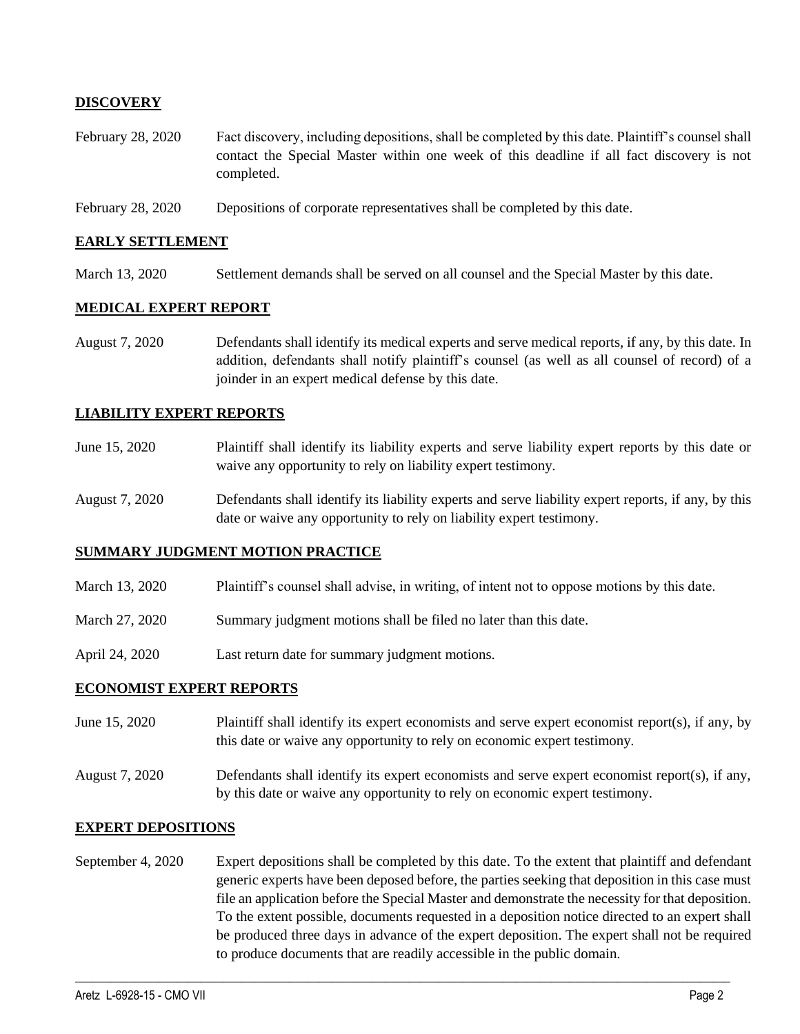### **DISCOVERY**

- February 28, 2020 Fact discovery, including depositions, shall be completed by this date. Plaintiff's counsel shall contact the Special Master within one week of this deadline if all fact discovery is not completed.
- February 28, 2020 Depositions of corporate representatives shall be completed by this date.

#### **EARLY SETTLEMENT**

March 13, 2020 Settlement demands shall be served on all counsel and the Special Master by this date.

#### **MEDICAL EXPERT REPORT**

August 7, 2020 Defendants shall identify its medical experts and serve medical reports, if any, by this date. In addition, defendants shall notify plaintiff's counsel (as well as all counsel of record) of a joinder in an expert medical defense by this date.

### **LIABILITY EXPERT REPORTS**

- June 15, 2020 Plaintiff shall identify its liability experts and serve liability expert reports by this date or waive any opportunity to rely on liability expert testimony.
- August 7, 2020 Defendants shall identify its liability experts and serve liability expert reports, if any, by this date or waive any opportunity to rely on liability expert testimony.

### **SUMMARY JUDGMENT MOTION PRACTICE**

- March 13, 2020 Plaintiff's counsel shall advise, in writing, of intent not to oppose motions by this date.
- March 27, 2020 Summary judgment motions shall be filed no later than this date.
- April 24, 2020 Last return date for summary judgment motions.

### **ECONOMIST EXPERT REPORTS**

- June 15, 2020 Plaintiff shall identify its expert economists and serve expert economist report(s), if any, by this date or waive any opportunity to rely on economic expert testimony.
- August 7, 2020 Defendants shall identify its expert economists and serve expert economist report(s), if any, by this date or waive any opportunity to rely on economic expert testimony.

#### **EXPERT DEPOSITIONS**

September 4, 2020 Expert depositions shall be completed by this date. To the extent that plaintiff and defendant generic experts have been deposed before, the parties seeking that deposition in this case must file an application before the Special Master and demonstrate the necessity for that deposition. To the extent possible, documents requested in a deposition notice directed to an expert shall be produced three days in advance of the expert deposition. The expert shall not be required to produce documents that are readily accessible in the public domain.

 $\_$  , and the set of the set of the set of the set of the set of the set of the set of the set of the set of the set of the set of the set of the set of the set of the set of the set of the set of the set of the set of th